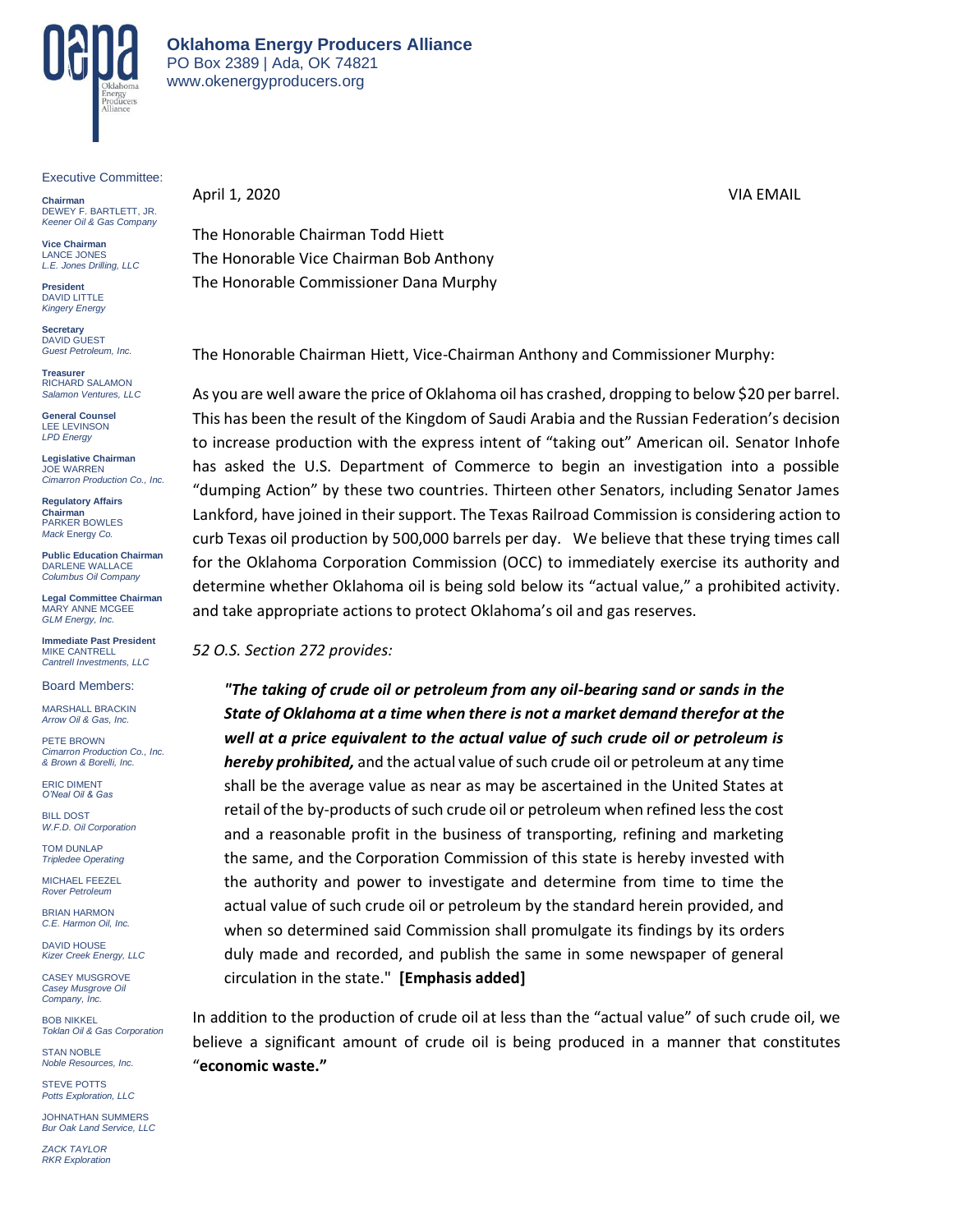

Executive Committee:

**Chairman** DEWEY F. BARTLETT, JR. *Keener Oil & Gas Company*

**Vice Chairman** LANCE JONES *L.E. Jones Drilling, LLC*

**President** DAVID LITTLE *Kingery Energy*

**Secretary** DAVID GUEST *Guest Petroleum, Inc.*

**Treasurer** RICHARD SALAMON *Salamon Ventures, LLC*

**General Counsel** LEE LEVINSON *LPD Energy*

**Legislative Chairman** JOE WARREN *Cimarron Production Co., Inc.* 

**Regulatory Affairs Chairman** PARKER BOWLES *Mack* Energy *Co.*

**Public Education Chairman** DARLENE WALLACE *Columbus Oil Company*

**Legal Committee Chairman** MARY ANNE MCGEE *GLM Energy, Inc.*

**Immediate Past President** MIKE CANTRELL *Cantrell Investments, LLC*

Board Members:

MARSHALL BRACKIN *Arrow Oil & Gas, Inc.*

PETE BROWN *Cimarron Production Co., Inc. & Brown & Borelli, Inc.*

ERIC DIMENT *O'Neal Oil & Gas*

BILL DOST *W.F.D. Oil Corporation*

TOM DUNLAP *Tripledee Operating*

MICHAEL FEEZEL *Rover Petroleum*

BRIAN HARMON *C.E. Harmon Oil, Inc.*

DAVID HOUSE *Kizer Creek Energy, LLC*

CASEY MUSGROVE *Casey Musgrove Oil Company, Inc.*

BOB NIKKEL *Toklan Oil & Gas Corporation*

STAN NOBLE *Noble Resources, Inc.*

STEVE POTTS *Potts Exploration, LLC*

JOHNATHAN SUMMERS *Bur Oak Land Service, LLC*

*ZACK TAYLOR RKR Exploration* April 1, 2020 VIA EMAIL

The Honorable Chairman Todd Hiett The Honorable Vice Chairman Bob Anthony The Honorable Commissioner Dana Murphy

The Honorable Chairman Hiett, Vice-Chairman Anthony and Commissioner Murphy:

As you are well aware the price of Oklahoma oil has crashed, dropping to below \$20 per barrel. This has been the result of the Kingdom of Saudi Arabia and the Russian Federation's decision to increase production with the express intent of "taking out" American oil. Senator Inhofe has asked the U.S. Department of Commerce to begin an investigation into a possible "dumping Action" by these two countries. Thirteen other Senators, including Senator James Lankford, have joined in their support. The Texas Railroad Commission is considering action to curb Texas oil production by 500,000 barrels per day. We believe that these trying times call for the Oklahoma Corporation Commission (OCC) to immediately exercise its authority and determine whether Oklahoma oil is being sold below its "actual value," a prohibited activity. and take appropriate actions to protect Oklahoma's oil and gas reserves.

*52 O.S. Section 272 provides:*

*"The taking of crude oil or petroleum from any oil-bearing sand or sands in the State of Oklahoma at a time when there is not a market demand therefor at the well at a price equivalent to the actual value of such crude oil or petroleum is hereby prohibited,* and the actual value of such crude oil or petroleum at any time shall be the average value as near as may be ascertained in the United States at retail of the by-products of such crude oil or petroleum when refined less the cost and a reasonable profit in the business of transporting, refining and marketing the same, and the Corporation Commission of this state is hereby invested with the authority and power to investigate and determine from time to time the actual value of such crude oil or petroleum by the standard herein provided, and when so determined said Commission shall promulgate its findings by its orders duly made and recorded, and publish the same in some newspaper of general circulation in the state." **[Emphasis added]**

In addition to the production of crude oil at less than the "actual value" of such crude oil, we believe a significant amount of crude oil is being produced in a manner that constitutes "**economic waste."**